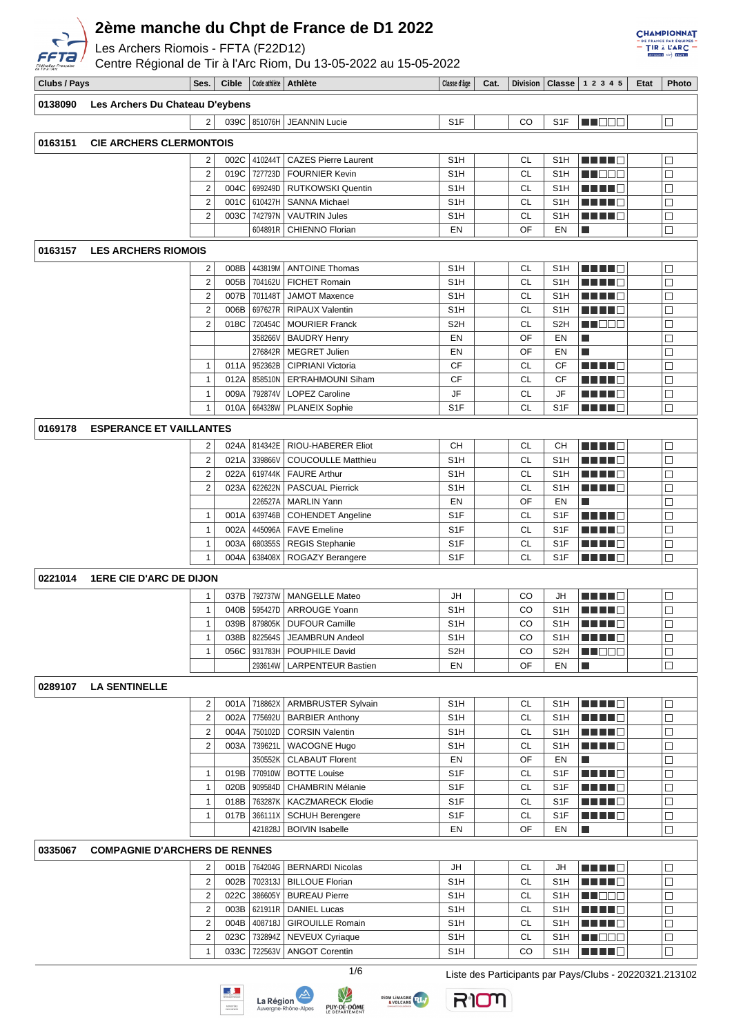

Les Archers Riomois - FFTA (F22D12)

Centre Régional de Tir à l'Arc Riom, Du 13-05-2022 au 15-05-2022

| <b>CHAMPIONNAT</b><br>$-$ DE FRANCE PAR ÉQUIPES $-$<br>$=$ TIR $\lambda$ LARC $=$<br>DIVISION) +3- ETAPE 2 |
|------------------------------------------------------------------------------------------------------------|

|              |                                      |                         |       |                        | $\frac{1}{100}$ OCHILD RUGIONAL UC TH & FRID RIOHI, DU TO 00 ZOZZ AU TO 00 ZOZZ |                       |      |                 |                         |                               |      |        |
|--------------|--------------------------------------|-------------------------|-------|------------------------|---------------------------------------------------------------------------------|-----------------------|------|-----------------|-------------------------|-------------------------------|------|--------|
| Clubs / Pays |                                      | Ses.                    | Cible | Code athlète   Athlète |                                                                                 | Classe d'âge          | Cat. |                 |                         | Division   Classe   1 2 3 4 5 | Etat | Photo  |
| 0138090      | Les Archers Du Chateau D'eybens      |                         |       |                        |                                                                                 |                       |      |                 |                         |                               |      |        |
|              |                                      | $\overline{2}$          |       | 039C 851076H           | <b>JEANNIN Lucie</b>                                                            | S <sub>1</sub> F      |      | CO              | S <sub>1</sub> F        | N NOOC                        |      | $\Box$ |
|              |                                      |                         |       |                        |                                                                                 |                       |      |                 |                         |                               |      |        |
| 0163151      | <b>CIE ARCHERS CLERMONTOIS</b>       |                         |       |                        |                                                                                 |                       |      |                 |                         |                               |      |        |
|              |                                      | 2                       | 002C  | 410244T                | <b>CAZES Pierre Laurent</b>                                                     | S <sub>1</sub> H      |      | <b>CL</b>       | S <sub>1</sub> H        | ma ma                         |      | $\Box$ |
|              |                                      | $\overline{\mathbf{c}}$ | 019C  | 727723D                | <b>FOURNIER Kevin</b>                                                           | S <sub>1</sub> H      |      | CL              | S <sub>1</sub> H        | M I DE E                      |      | □      |
|              |                                      | $\overline{2}$          | 004C  | 699249D                | <b>RUTKOWSKI Quentin</b>                                                        | S <sub>1</sub> H      |      | <b>CL</b>       | S <sub>1</sub> H        | M S S S S                     |      | $\Box$ |
|              |                                      | $\overline{2}$          | 001C  | 610427H                | <b>SANNA Michael</b>                                                            | S <sub>1</sub> H      |      | <b>CL</b>       | S <sub>1</sub> H        | <u> Literatur</u>             |      | $\Box$ |
|              |                                      | 2                       | 003C  | 742797N                | <b>VAUTRIN Jules</b>                                                            | S1H                   |      | <b>CL</b>       | S <sub>1</sub> H        | <u> Literatur</u>             |      | $\Box$ |
|              |                                      |                         |       | 604891R                | <b>CHIENNO Florian</b>                                                          | EN                    |      | OF              | EN                      | I.                            |      | □      |
|              |                                      |                         |       |                        |                                                                                 |                       |      |                 |                         |                               |      |        |
| 0163157      | <b>LES ARCHERS RIOMOIS</b>           |                         |       |                        |                                                                                 |                       |      |                 |                         |                               |      |        |
|              |                                      | 2                       | 008B  | 443819M                | <b>ANTOINE Thomas</b>                                                           | S <sub>1</sub> H      |      | <b>CL</b>       | S <sub>1</sub> H        |                               |      | $\Box$ |
|              |                                      | $\overline{2}$          | 005B  | 704162U                | <b>FICHET Romain</b>                                                            | S1H                   |      | <b>CL</b>       | S <sub>1</sub> H        |                               |      | $\Box$ |
|              |                                      | $\overline{\mathbf{c}}$ | 007B  | 701148T                | <b>JAMOT Maxence</b>                                                            | S <sub>1</sub> H      |      | <b>CL</b>       | S <sub>1</sub> H        |                               |      | □      |
|              |                                      | $\overline{2}$          | 006B  | 697627R                | RIPAUX Valentin                                                                 | S <sub>1</sub> H      |      | CL              | S <sub>1</sub> H        | a di se                       |      | □      |
|              |                                      | $\overline{2}$          | 018C  | 720454C                | <b>MOURIER Franck</b>                                                           | S <sub>2</sub> H      |      | <b>CL</b>       | S <sub>2</sub> H        | <u>s de e</u>                 |      | $\Box$ |
|              |                                      |                         |       | 358266V                | <b>BAUDRY Henry</b>                                                             | EN                    |      | OF              | EN                      | П                             |      | $\Box$ |
|              |                                      |                         |       | 276842R                | <b>MEGRET Julien</b>                                                            | EN                    |      | OF              | EN                      | T.                            |      | $\Box$ |
|              |                                      | $\mathbf{1}$            | 011A  | 952362B                | CIPRIANI Victoria                                                               | CF                    |      | CL              | СF                      | n di Ting                     |      | $\Box$ |
|              |                                      | $\overline{1}$          | 012A  | 858510N                | ER'RAHMOUNI Siham                                                               | CF                    |      | <b>CL</b>       | CF                      | MA MAR                        |      | $\Box$ |
|              |                                      | $\mathbf{1}$            | 009A  | 792874V                | LOPEZ Caroline                                                                  | JF                    |      | <b>CL</b>       | JF                      |                               |      | $\Box$ |
|              |                                      | 1                       | 010A  | 664328W                | <b>PLANEIX Sophie</b>                                                           | S <sub>1</sub> F      |      | <b>CL</b>       | S <sub>1</sub> F        | M M M D                       |      | $\Box$ |
|              |                                      |                         |       |                        |                                                                                 |                       |      |                 |                         |                               |      |        |
| 0169178      | <b>ESPERANCE ET VAILLANTES</b>       |                         |       |                        |                                                                                 |                       |      |                 |                         |                               |      |        |
|              |                                      | 2                       | 024A  | 814342E                | RIOU-HABERER Eliot                                                              | CН                    |      | <b>CL</b>       | CH                      | ma mata                       |      | $\Box$ |
|              |                                      | $\overline{2}$          | 021A  | 339866V                | <b>COUCOULLE Matthieu</b>                                                       | S <sub>1</sub> H      |      | <b>CL</b>       | S <sub>1</sub> H        |                               |      | $\Box$ |
|              |                                      | $\overline{2}$          | 022A  | 619744K                | <b>FAURE Arthur</b>                                                             | S <sub>1</sub> H      |      | <b>CL</b>       | S <sub>1</sub> H        | <u> Literatur</u>             |      | $\Box$ |
|              |                                      | $\overline{\mathbf{c}}$ | 023A  | 622622N                | <b>PASCUAL Pierrick</b>                                                         | S <sub>1</sub> H      |      | <b>CL</b>       | S <sub>1</sub> H        | <u> Literatur</u>             |      | □      |
|              |                                      |                         |       | 226527A                | <b>MARLIN Yann</b>                                                              | EN                    |      | OF              | EN                      | I.                            |      | П      |
|              |                                      | $\mathbf{1}$            | 001A  | 639746B                | <b>COHENDET Angeline</b>                                                        | S <sub>1</sub> F      |      | CL              | S <sub>1</sub> F        |                               |      | $\Box$ |
|              |                                      | $\mathbf{1}$            | 002A  | 445096A                | <b>FAVE Emeline</b>                                                             | S <sub>1</sub> F      |      | CL              | S <sub>1</sub> F        | HH H                          |      | $\Box$ |
|              |                                      | $\overline{1}$          | 003A  | 680355S                | <b>REGIS Stephanie</b>                                                          | S <sub>1</sub> F      |      | CL              | S <sub>1</sub> F        | N N N N E                     |      | $\Box$ |
|              |                                      | 1                       | 004A  | 638408X                | <b>ROGAZY Berangere</b>                                                         | S <sub>1</sub> F      |      | CL              | S <sub>1</sub> F        | ma mata                       |      | $\Box$ |
|              |                                      |                         |       |                        |                                                                                 |                       |      |                 |                         |                               |      |        |
| 0221014      | <b>1ERE CIE D'ARC DE DIJON</b>       |                         |       |                        |                                                                                 |                       |      |                 |                         |                               |      |        |
|              |                                      | 1                       | 037B  | 792737W                | <b>MANGELLE Mateo</b>                                                           | JH                    |      | CO              | JH                      |                               |      | □      |
|              |                                      | $\mathbf{1}$            |       |                        | 040B 595427D   ARROUGE Yoann                                                    | S1H                   |      | CO              | S <sub>1</sub> H        |                               |      | $\Box$ |
|              |                                      | $\mathbf{1}$            | 039B  |                        | 879805K   DUFOUR Camille                                                        | S1H                   |      | CO              | S1H                     | MA MAR                        |      | $\Box$ |
|              |                                      | $\mathbf{1}$            | 038B  | 822564S                | JEAMBRUN Andeol                                                                 | S <sub>1</sub> H      |      | CO              | S <sub>1</sub> H        | ma mata                       |      | $\Box$ |
|              |                                      | $\mathbf{1}$            | 056C  |                        | 931783H   POUPHILE David                                                        | S <sub>2</sub> H      |      | CO              | S <sub>2</sub> H        | <u>Li Ber</u>                 |      | $\Box$ |
|              |                                      |                         |       |                        | 293614W   LARPENTEUR Bastien                                                    | EN                    |      | OF              | EN                      | П                             |      | $\Box$ |
| 0289107      | <b>LA SENTINELLE</b>                 |                         |       |                        |                                                                                 |                       |      |                 |                         |                               |      |        |
|              |                                      | $\overline{\mathbf{c}}$ | 001A  | 718862X                | <b>ARMBRUSTER Sylvain</b>                                                       | S1H                   |      | CL              |                         | M M M M M                     |      | □      |
|              |                                      | $\overline{2}$          | 002A  |                        | 775692U   BARBIER Anthony                                                       | S1H                   |      | <b>CL</b>       | S <sub>1</sub> H<br>S1H |                               |      | $\Box$ |
|              |                                      |                         | 004A  |                        |                                                                                 |                       |      |                 |                         | <u> Literatur</u>             |      | $\Box$ |
|              |                                      | $\overline{2}$          |       |                        | 750102D   CORSIN Valentin                                                       | S1H                   |      | CL              | S <sub>1</sub> H        | <u> El El El E</u>            |      |        |
|              |                                      | $\overline{c}$          | 003A  | 739621L                | <b>WACOGNE Hugo</b>                                                             | S1H                   |      | <b>CL</b><br>OF | S <sub>1</sub> H        | MA MA M                       |      | $\Box$ |
|              |                                      |                         |       | 350552K                | <b>CLABAUT Florent</b><br>019B 770910W   BOTTE Louise                           | EN<br>S <sub>1F</sub> |      | <b>CL</b>       | EN                      | П                             |      | $\Box$ |
|              |                                      | $\mathbf{1}$            |       |                        |                                                                                 |                       |      |                 | S <sub>1</sub> F        | e de la co                    |      | $\Box$ |
|              |                                      | $\mathbf{1}$            | 020B  | 909584D                | <b>CHAMBRIN Mélanie</b>                                                         | S <sub>1</sub> F      |      | CL              | S <sub>1</sub> F        | <u> Literatur</u>             |      | $\Box$ |
|              |                                      | $\mathbf{1}$            | 018B  | 763287K                | <b>KACZMARECK Elodie</b>                                                        | S <sub>1</sub> F      |      | <b>CL</b>       | S <sub>1</sub> F        | MA MAR                        |      | □      |
|              |                                      | $\mathbf{1}$            | 017B  | 366111X                | <b>SCHUH Berengere</b>                                                          | S <sub>1</sub> F      |      | <b>CL</b>       | S <sub>1</sub> F        | M M M M M                     |      | □      |
|              |                                      |                         |       |                        | 421828J   BOIVIN Isabelle                                                       | EN                    |      | OF              | EN                      | П                             |      | $\Box$ |
| 0335067      | <b>COMPAGNIE D'ARCHERS DE RENNES</b> |                         |       |                        |                                                                                 |                       |      |                 |                         |                               |      |        |
|              |                                      | 2                       | 001B  |                        | 764204G   BERNARDI Nicolas                                                      | JH                    |      | <b>CL</b>       | JH                      | M M M M M                     |      | $\Box$ |
|              |                                      | $\overline{\mathbf{c}}$ | 002B  |                        | 702313J   BILLOUE Florian                                                       | S <sub>1</sub> H      |      | <b>CL</b>       | S <sub>1</sub> H        | <u> Literatu</u>              |      | $\Box$ |
|              |                                      | $\overline{2}$          | 022C  | 386605Y                | <b>BUREAU Pierre</b>                                                            | S1H                   |      | <b>CL</b>       | S <sub>1</sub> H        | M DOO                         |      | $\Box$ |
|              |                                      | $\overline{\mathbf{c}}$ | 003B  |                        | 621911R   DANIEL Lucas                                                          | S1H                   |      | CL              | S <sub>1</sub> H        | <u> Literatur</u>             |      | $\Box$ |
|              |                                      | $\overline{2}$          | 004B  | 408718J                | <b>GIROUILLE Romain</b>                                                         | S1H                   |      | <b>CL</b>       | S <sub>1</sub> H        | MA MAR                        |      | $\Box$ |
|              |                                      | $\overline{2}$          | 023C  | 732894Z                | NEVEUX Cyriaque                                                                 | S1H                   |      | CL              | S <sub>1</sub> H        | MU DO U                       |      | □      |
|              |                                      | $\mathbf{1}$            | 033C  | 722563V                | <b>ANGOT Corentin</b>                                                           | S1H                   |      | CO              | S1H                     | N HE HE                       |      | □      |
|              |                                      |                         |       |                        |                                                                                 |                       |      |                 |                         |                               |      |        |









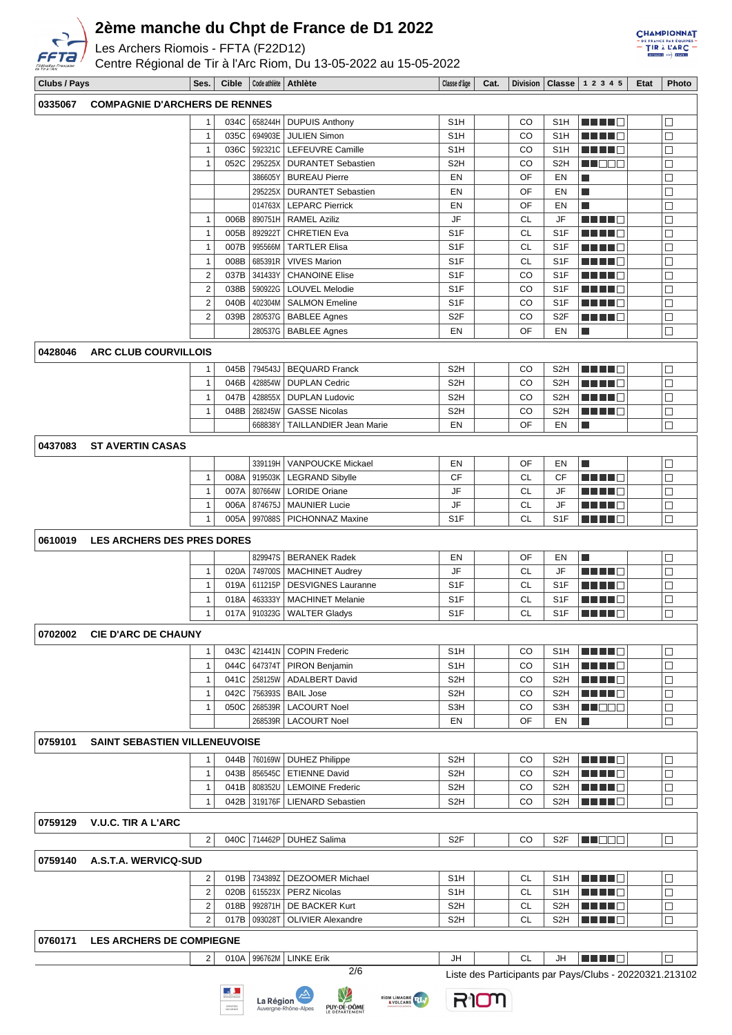

Les Archers Riomois - FFTA (F22D12)

Centre Régional de Tir à l'Arc Riom, Du 13-05-2022 au 15-05-2022



| Clubs / Pays |                                      | Ses.           |      |                | Cible   Code athlète   Athlète  | Classe d'âge     | Cat. |           |                  | Division   Classe   1 2 3 4 5                           | Etat | <b>Photo</b>     |
|--------------|--------------------------------------|----------------|------|----------------|---------------------------------|------------------|------|-----------|------------------|---------------------------------------------------------|------|------------------|
| 0335067      | <b>COMPAGNIE D'ARCHERS DE RENNES</b> |                |      |                |                                 |                  |      |           |                  |                                                         |      |                  |
|              |                                      | $\mathbf{1}$   | 034C |                | 658244H   DUPUIS Anthony        | S <sub>1</sub> H |      | CO        | S <sub>1</sub> H | <u> BEBE</u>                                            |      | $\Box$           |
|              |                                      | $\mathbf{1}$   | 035C | 694903E        | <b>JULIEN Simon</b>             | S <sub>1</sub> H |      | CO        | S <sub>1</sub> H | n di Tinggi                                             |      | $\Box$           |
|              |                                      | 1              | 036C |                | 592321C   LEFEUVRE Camille      | S <sub>1</sub> H |      | CO        | S <sub>1</sub> H | ma mata                                                 |      | $\Box$           |
|              |                                      | $\mathbf{1}$   | 052C |                | 295225X   DURANTET Sebastien    | S <sub>2</sub> H |      | CO        | S <sub>2</sub> H | wa katika ku                                            |      | $\Box$           |
|              |                                      |                |      | 386605Y        | <b>BUREAU Pierre</b>            | EN               |      | OF        | EN               |                                                         |      |                  |
|              |                                      |                |      |                |                                 |                  |      | OF        |                  | Ш                                                       |      | $\Box$<br>$\Box$ |
|              |                                      |                |      |                | 295225X   DURANTET Sebastien    | EN               |      |           | EN               | П                                                       |      |                  |
|              |                                      |                |      |                | 014763X   LEPARC Pierrick       | EN               |      | OF        | EN               | П                                                       |      | $\Box$           |
|              |                                      | $\mathbf{1}$   | 006B |                | 890751H   RAMEL Aziliz          | JF               |      | <b>CL</b> | JF               | n din bin                                               |      | $\Box$           |
|              |                                      | $\mathbf{1}$   | 005B | 892922T        | <b>CHRETIEN Eva</b>             | S <sub>1F</sub>  |      | <b>CL</b> | S <sub>1F</sub>  | MA MATE                                                 |      | $\Box$           |
|              |                                      | $\mathbf{1}$   | 007B | 995566M        | <b>TARTLER Elisa</b>            | S <sub>1F</sub>  |      | <b>CL</b> | S <sub>1</sub> F | <b>REBEC</b>                                            |      | $\Box$           |
|              |                                      | $\mathbf{1}$   | 008B | 685391R        | <b>VIVES Marion</b>             | S <sub>1</sub> F |      | <b>CL</b> | S <sub>1</sub> F |                                                         |      | $\Box$           |
|              |                                      | $\overline{2}$ | 037B | 341433Y        | <b>CHANOINE Elise</b>           | S <sub>1</sub> F |      | CO        | S <sub>1</sub> F |                                                         |      | $\Box$           |
|              |                                      | $\overline{2}$ | 038B | 590922G        | LOUVEL Melodie                  | S <sub>1</sub> F |      | CO        | S <sub>1</sub> F | n din din ka                                            |      | $\Box$           |
|              |                                      | $\overline{2}$ | 040B | 402304M        | <b>SALMON Emeline</b>           | S <sub>1</sub> F |      | CO        | S <sub>1F</sub>  | H H H H                                                 |      | $\Box$           |
|              |                                      | $\overline{2}$ | 039B | 280537G        | <b>BABLEE Agnes</b>             | S <sub>2F</sub>  |      | CO        | S <sub>2F</sub>  | Martin Biblio                                           |      | $\Box$           |
|              |                                      |                |      |                | 280537G   BABLEE Agnes          | EN               |      | OF        | EN               | П                                                       |      | $\Box$           |
|              |                                      |                |      |                |                                 |                  |      |           |                  |                                                         |      |                  |
| 0428046      | ARC CLUB COURVILLOIS                 |                |      |                |                                 |                  |      |           |                  |                                                         |      |                  |
|              |                                      | 1              | 045B | 794543J        | <b>BEQUARD Franck</b>           | S <sub>2</sub> H |      | CO        | S <sub>2</sub> H | n nin d                                                 |      | $\Box$           |
|              |                                      | $\mathbf{1}$   | 046B |                | 428854W   DUPLAN Cedric         | S <sub>2</sub> H |      | CO        | S <sub>2</sub> H | n di Tinggi                                             |      | $\Box$           |
|              |                                      | 1              | 047B |                | 428855X   DUPLAN Ludovic        | S <sub>2</sub> H |      | CO        | S <sub>2</sub> H | H H H H                                                 |      | $\Box$           |
|              |                                      | 1              | 048B | 268245W        | <b>GASSE Nicolas</b>            | S <sub>2</sub> H |      | CO        | S2H              | n din bin                                               |      | $\Box$           |
|              |                                      |                |      | 668838Y        | TAILLANDIER Jean Marie          | EN               |      | OF        | EN               | П                                                       |      | $\Box$           |
| 0437083      | <b>ST AVERTIN CASAS</b>              |                |      |                |                                 |                  |      |           |                  |                                                         |      |                  |
|              |                                      |                |      |                |                                 |                  |      |           |                  |                                                         |      |                  |
|              |                                      |                |      |                | 339119H   VANPOUCKE Mickael     | EN               |      | OF        | EN               | П                                                       |      | $\Box$           |
|              |                                      | $\mathbf{1}$   | 008A |                | 919503K   LEGRAND Sibylle       | CF               |      | <b>CL</b> | CF               | ma ma                                                   |      | $\Box$           |
|              |                                      | $\mathbf{1}$   | 007A | 807664W        | <b>LORIDE Oriane</b>            | JF               |      | <b>CL</b> | JF               | Martin Ma                                               |      | $\Box$           |
|              |                                      | $\mathbf{1}$   | 006A | 874675J        | <b>MAUNIER Lucie</b>            | JF               |      | CL        | JF               | MUNICI                                                  |      | $\Box$           |
|              |                                      | 1              | 005A |                | 997088S   PICHONNAZ Maxine      | S <sub>1F</sub>  |      | <b>CL</b> | S <sub>1</sub> F | Martin Ma                                               |      | $\Box$           |
| 0610019      | <b>LES ARCHERS DES PRES DORES</b>    |                |      |                |                                 |                  |      |           |                  |                                                         |      |                  |
|              |                                      |                |      |                |                                 |                  |      |           |                  |                                                         |      |                  |
|              |                                      |                |      |                | 829947S   BERANEK Radek         | EN               |      | OF        | EN               | П                                                       |      | $\Box$           |
|              |                                      | $\mathbf{1}$   | 020A |                | 749700S   MACHINET Audrey       | JF               |      | <b>CL</b> | JF               | MA MA M                                                 |      | $\Box$           |
|              |                                      | $\mathbf{1}$   | 019A | 611215P        | <b>DESVIGNES Lauranne</b>       | S <sub>1</sub> F |      | <b>CL</b> | S <sub>1</sub> F | <u> Literatur</u>                                       |      | $\Box$           |
|              |                                      | $\mathbf{1}$   | 018A | 463333Y        | <b>MACHINET Melanie</b>         | S <sub>1</sub> F |      | <b>CL</b> | S <sub>1</sub> F | .                                                       |      | $\Box$           |
|              |                                      | 1              | 017A |                | 910323G   WALTER Gladys         | S <sub>1</sub> F |      | <b>CL</b> | S <sub>1</sub> F | H H H H                                                 |      | $\Box$           |
|              | 0702002 CIE D'ARC DE CHAUNY          |                |      |                |                                 |                  |      |           |                  |                                                         |      |                  |
|              |                                      |                |      |                |                                 |                  |      |           |                  |                                                         |      |                  |
|              |                                      | 1              |      |                | 043C 421441N COPIN Frederic     | S <sub>1</sub> H |      | CO        | S1H              |                                                         |      | $\Box$           |
|              |                                      | $\mathbf{1}$   | 044C |                | 647374T   PIRON Benjamin        | S <sub>1</sub> H |      | CO        | S1H              | <u> Here al I</u>                                       |      | $\Box$           |
|              |                                      | $\mathbf{1}$   |      | 041C   258125W | <b>ADALBERT David</b>           | S <sub>2</sub> H |      | CO        | S <sub>2</sub> H | n din din ka                                            |      | $\Box$           |
|              |                                      | 1              | 042C |                | 756393S   BAIL Jose             | S <sub>2</sub> H |      | CO        | S <sub>2</sub> H | <u> El Bra</u>                                          |      | $\Box$           |
|              |                                      | 1              | 050C | 268539R        | <b>LACOURT Noel</b>             | S3H              |      | CO        | S3H              | <u> HIS B</u> E                                         |      | $\Box$           |
|              |                                      |                |      | 268539R        | <b>LACOURT Noel</b>             | EN               |      | OF        | EN               | $\Box$                                                  |      | $\Box$           |
| 0759101      | <b>SAINT SEBASTIEN VILLENEUVOISE</b> |                |      |                |                                 |                  |      |           |                  |                                                         |      |                  |
|              |                                      |                |      |                |                                 |                  |      |           |                  |                                                         |      |                  |
|              |                                      | 1              |      | 044B 760169W   | DUHEZ Philippe                  | S <sub>2</sub> H |      | CO        | S <sub>2</sub> H | M HIJ DI                                                |      | □                |
|              |                                      | $\mathbf{1}$   |      |                | 043B 856545C   ETIENNE David    | S <sub>2</sub> H |      | CO        | S <sub>2</sub> H | n di Tinggi                                             |      | $\Box$           |
|              |                                      | 1              | 041B | 808352U        | <b>LEMOINE Frederic</b>         | S <sub>2</sub> H |      | CO        | S2H              | H H H H                                                 |      | $\Box$           |
|              |                                      | 1              |      | 042B 319176F   | <b>LIENARD Sebastien</b>        | S <sub>2</sub> H |      | CO        | S2H              |                                                         |      | $\Box$           |
|              |                                      |                |      |                |                                 |                  |      |           |                  |                                                         |      |                  |
| 0759129      | <b>V.U.C. TIR A L'ARC</b>            |                |      |                |                                 |                  |      |           |                  |                                                         |      |                  |
|              |                                      | $\overline{2}$ |      |                | 040C 714462P   DUHEZ Salima     | S <sub>2F</sub>  |      | CO        | S <sub>2F</sub>  | M NOOC                                                  |      | $\Box$           |
| 0759140      | A.S.T.A. WERVICQ-SUD                 |                |      |                |                                 |                  |      |           |                  |                                                         |      |                  |
|              |                                      |                |      |                |                                 |                  |      |           |                  |                                                         |      |                  |
|              |                                      | 2              | 019B |                | 734389Z   DEZOOMER Michael      | S <sub>1</sub> H |      | CL        | S <sub>1</sub> H | <u> El Bra</u>                                          |      | $\Box$           |
|              |                                      | $\overline{2}$ |      |                | 020B   615523X   PERZ Nicolas   | S1H              |      | СL        | S <sub>1</sub> H | e de la c                                               |      | $\Box$           |
|              |                                      | 2              |      |                | 018B   992871H   DE BACKER Kurt | S <sub>2</sub> H |      | СL        | S2H              | <u> Literatur</u>                                       |      | $\Box$           |
|              |                                      | 2              | 017B | 093028T        | <b>OLIVIER Alexandre</b>        | S <sub>2</sub> H |      | CL        | S2H              | a da da g                                               |      | $\Box$           |
|              |                                      |                |      |                |                                 |                  |      |           |                  |                                                         |      |                  |
| 0760171      | <b>LES ARCHERS DE COMPIEGNE</b>      |                |      |                |                                 |                  |      |           |                  |                                                         |      |                  |
|              |                                      | 2              | 010A |                | 996762M   LINKE Erik            | JH               |      | CL        | JH               | <b>REBEC</b>                                            |      | $\Box$           |
|              |                                      |                |      |                | 2/6                             |                  |      |           |                  | Liste des Participants par Pays/Clubs - 20220321.213102 |      |                  |
|              |                                      |                |      |                |                                 |                  |      |           |                  |                                                         |      |                  |







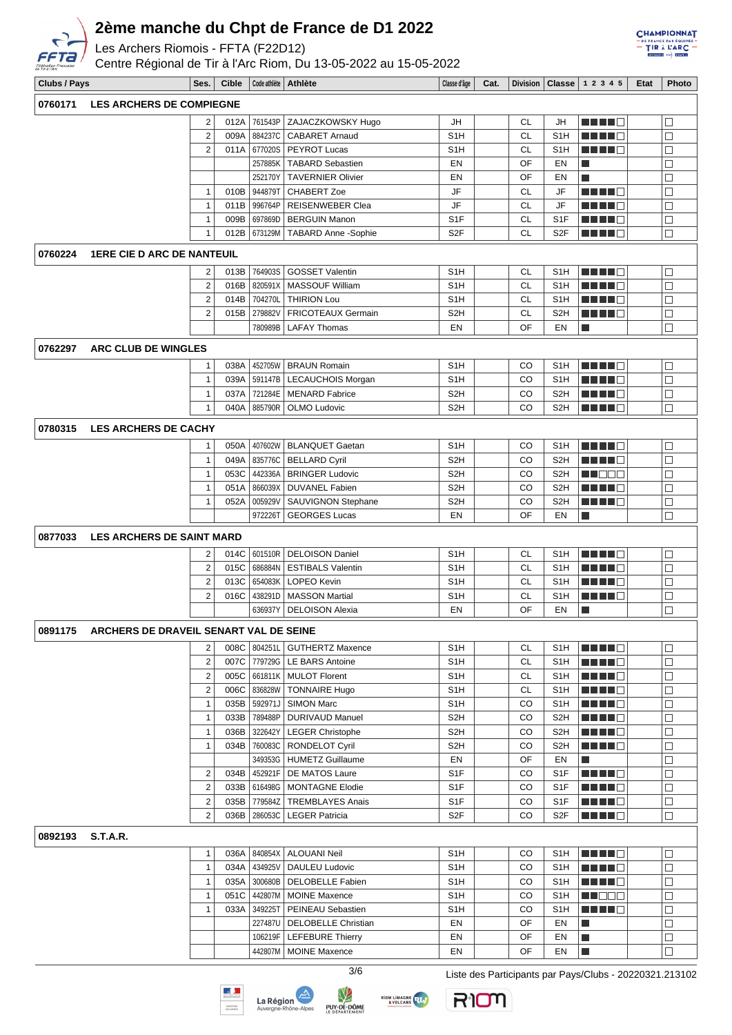

Les Archers Riomois - FFTA (F22D12)

Centre Régional de Tir à l'Arc Riom, Du 13-05-2022 au 15-05-2022



| Clubs / Pays |                                        | Ses.                    | <b>Cible</b> | Code athlète       | Athlète                                         | Classe d'âge                         | Cat. | <b>Division</b> |                                      | <b>Classe</b> $12345$           | Etat | Photo            |
|--------------|----------------------------------------|-------------------------|--------------|--------------------|-------------------------------------------------|--------------------------------------|------|-----------------|--------------------------------------|---------------------------------|------|------------------|
| 0760171      | <b>LES ARCHERS DE COMPIEGNE</b>        |                         |              |                    |                                                 |                                      |      |                 |                                      |                                 |      |                  |
|              |                                        | 2                       | 012A         | 761543P            | ZAJACZKOWSKY Hugo                               | JH                                   |      | <b>CL</b>       | JH                                   | ma ma                           |      | $\Box$           |
|              |                                        | $\overline{\mathbf{c}}$ | 009A         | 884237C            | <b>CABARET Arnaud</b>                           | S <sub>1</sub> H                     |      | <b>CL</b>       | S <sub>1</sub> H                     | n din Fin                       |      | $\Box$           |
|              |                                        | $\overline{2}$          | 011A         | 677020S            | PEYROT Lucas                                    | S <sub>1</sub> H                     |      | <b>CL</b>       | S <sub>1</sub> H                     | n din Film                      |      | $\Box$           |
|              |                                        |                         |              | 257885K            | <b>TABARD Sebastien</b>                         | EN                                   |      | OF              | EN                                   | L.                              |      | $\Box$           |
|              |                                        |                         |              | 252170Y            | <b>TAVERNIER Olivier</b>                        | EN                                   |      | OF              | EN                                   | L.                              |      | $\Box$           |
|              |                                        | 1                       | 010B         | 944879T            | <b>CHABERT Zoe</b>                              | JF                                   |      | <b>CL</b>       | JF                                   |                                 |      | $\Box$           |
|              |                                        | $\mathbf{1}$            | 011B         | 996764P            | <b>REISENWEBER Clea</b>                         | JF                                   |      | <b>CL</b>       | JF                                   |                                 |      | $\Box$           |
|              |                                        | 1                       | 009B         | 697869D            | <b>BERGUIN Manon</b>                            | S <sub>1F</sub>                      |      | <b>CL</b>       | S <sub>1</sub> F                     | N E E E A                       |      | $\Box$           |
|              |                                        | 1                       | 012B         | 673129M            | <b>TABARD Anne -Sophie</b>                      | S <sub>2F</sub>                      |      | <b>CL</b>       | S <sub>2F</sub>                      |                                 |      | $\Box$           |
| 0760224      | <b>1ERE CIE D ARC DE NANTEUIL</b>      |                         |              |                    |                                                 |                                      |      |                 |                                      |                                 |      |                  |
|              |                                        | 2                       | 013B         | 764903S            | <b>GOSSET Valentin</b>                          | S <sub>1</sub> H                     |      | CL              | S <sub>1</sub> H                     |                                 |      | $\Box$           |
|              |                                        | $\overline{\mathbf{c}}$ | 016B         | 820591X            | <b>MASSOUF William</b>                          | S <sub>1</sub> H                     |      | <b>CL</b>       | S <sub>1</sub> H                     |                                 |      | $\Box$           |
|              |                                        | $\overline{\mathbf{c}}$ | 014B         | 704270L            | <b>THIRION Lou</b>                              | S <sub>1</sub> H                     |      | <b>CL</b>       | S <sub>1</sub> H                     |                                 |      | $\Box$           |
|              |                                        | $\overline{2}$          | 015B         | 279882V            | <b>FRICOTEAUX Germain</b>                       | S <sub>2</sub> H                     |      | <b>CL</b>       | S <sub>2</sub> H                     |                                 |      | $\Box$           |
|              |                                        |                         |              | 780989B            | <b>LAFAY Thomas</b>                             | EN                                   |      | OF              | EN                                   | П                               |      | $\Box$           |
| 0762297      | ARC CLUB DE WINGLES                    |                         |              |                    |                                                 |                                      |      |                 |                                      |                                 |      |                  |
|              |                                        | 1<br>1                  | 038A<br>039A | 452705W<br>591147B | <b>BRAUN Romain</b><br>LECAUCHOIS Morgan        | S <sub>1</sub> H<br>S <sub>1</sub> H |      | CO<br>CO        | S <sub>1</sub> H<br>S <sub>1</sub> H | n din bir<br><u> Literatur</u>  |      | $\Box$<br>$\Box$ |
|              |                                        | 1                       | 037A         | 721284E            | <b>MENARD Fabrice</b>                           | S <sub>2</sub> H                     |      | CO              | S <sub>2</sub> H                     | n in Fil                        |      | $\Box$           |
|              |                                        | $\mathbf{1}$            | 040A         | 885790R            | OLMO Ludovic                                    | S <sub>2</sub> H                     |      | CO              | S <sub>2</sub> H                     | HH 10                           |      | $\Box$           |
|              |                                        |                         |              |                    |                                                 |                                      |      |                 |                                      |                                 |      |                  |
| 0780315      | <b>LES ARCHERS DE CACHY</b>            |                         |              |                    |                                                 |                                      |      |                 |                                      |                                 |      |                  |
|              |                                        | 1                       | 050A         | 407602W            | <b>BLANQUET Gaetan</b>                          | S <sub>1</sub> H                     |      | CO              | S <sub>1</sub> H                     | <b>MEND</b> O                   |      | $\Box$           |
|              |                                        | $\mathbf{1}$            | 049A         | 835776C            | <b>BELLARD Cyril</b>                            | S <sub>2</sub> H                     |      | CO              | S <sub>2</sub> H                     | EU TITO                         |      | $\Box$           |
|              |                                        | $\mathbf{1}$            | 053C         | 442336A            | <b>BRINGER Ludovic</b>                          | S <sub>2</sub> H                     |      | CO              | S <sub>2</sub> H                     | MU OO W                         |      | $\Box$           |
|              |                                        | 1                       | 051A         | 866039X            | <b>DUVANEL Fabien</b>                           | S <sub>2</sub> H                     |      | CO              | S <sub>2H</sub>                      |                                 |      | $\Box$           |
|              |                                        | 1                       | 052A         | 005929V<br>972226T | SAUVIGNON Stephane<br><b>GEORGES Lucas</b>      | S <sub>2</sub> H<br>EN               |      | CO<br>OF        | S <sub>2</sub> H<br><b>EN</b>        | L.                              |      | $\Box$<br>$\Box$ |
|              |                                        |                         |              |                    |                                                 |                                      |      |                 |                                      |                                 |      |                  |
| 0877033      | <b>LES ARCHERS DE SAINT MARD</b>       |                         |              |                    |                                                 |                                      |      |                 |                                      |                                 |      |                  |
|              |                                        | 2                       | 014C         | 601510R            | <b>DELOISON Daniel</b>                          | S <sub>1</sub> H                     |      | <b>CL</b>       | S <sub>1</sub> H                     |                                 |      | $\Box$           |
|              |                                        | $\overline{\mathbf{c}}$ | 015C         | 686884N            | <b>ESTIBALS Valentin</b>                        | S <sub>1</sub> H                     |      | <b>CL</b>       | S <sub>1</sub> H                     | .                               |      | $\Box$           |
|              |                                        | $\overline{\mathbf{c}}$ | 013C         | 654083K            | LOPEO Kevin                                     | S <sub>1</sub> H                     |      | <b>CL</b>       | S <sub>1</sub> H                     | n din Biblio                    |      | $\Box$           |
|              |                                        | $\overline{2}$          | 016C         | 438291D<br>636937Y | <b>MASSON Martial</b><br><b>DELOISON Alexia</b> | S <sub>1</sub> H<br>EN               |      | <b>CL</b><br>OF | S <sub>1</sub> H<br>EN               | <u> Literatur</u><br>H          |      | $\Box$<br>$\Box$ |
|              |                                        |                         |              |                    |                                                 |                                      |      |                 |                                      |                                 |      |                  |
| 0891175      | ARCHERS DE DRAVEIL SENART VAL DE SEINE |                         |              |                    |                                                 |                                      |      |                 |                                      |                                 |      |                  |
|              |                                        | 2                       | 008C         |                    | 804251L GUTHERTZ Maxence                        | S <sub>1</sub> H                     |      | CL              | S <sub>1</sub> H                     | MA MER                          |      | $\Box$           |
|              |                                        | $\sqrt{2}$              |              |                    | 007C 779729G   LE BARS Antoine                  | S <sub>1</sub> H                     |      | <b>CL</b>       | S1H                                  | <u> Here i Se</u>               |      | $\Box$           |
|              |                                        | $\overline{\mathbf{c}}$ | 005C         |                    | 661811K   MULOT Florent                         | S <sub>1</sub> H                     |      | СL              | S1H                                  | <u>Lillie</u>                   |      | $\Box$           |
|              |                                        | $\overline{\mathbf{c}}$ | 006C         | 836828W            | <b>TONNAIRE Hugo</b>                            | S <sub>1</sub> H                     |      | CL              | S1H                                  | <u>Li Li Li C</u>               |      | $\Box$           |
|              |                                        | 1<br>$\mathbf{1}$       | 035B<br>033B | 592971J            | SIMON Marc<br>789488P   DURIVAUD Manuel         | S <sub>1</sub> H<br>S <sub>2</sub> H |      | CO<br>CO        | S <sub>1</sub> H<br>S <sub>2</sub> H | <u> E E E E</u><br><b>RENDE</b> |      | $\Box$<br>$\Box$ |
|              |                                        | $\mathbf{1}$            | 036B         | 322642Y            | <b>LEGER Christophe</b>                         | S <sub>2</sub> H                     |      | CO              | S <sub>2</sub> H                     | <u> Literatur</u>               |      | $\Box$           |
|              |                                        | $\mathbf{1}$            | 034B         | 760083C            | <b>RONDELOT Cyril</b>                           | S <sub>2</sub> H                     |      | CO              | S <sub>2</sub> H                     | <u>Li Li Li C</u>               |      | $\Box$           |
|              |                                        |                         |              |                    | 349353G   HUMETZ Guillaume                      | EN                                   |      | OF              | EN                                   | $\Box$                          |      | $\Box$           |
|              |                                        | 2                       | 034B         |                    | 452921F   DE MATOS Laure                        | S <sub>1</sub> F                     |      | CO              | S <sub>1</sub> F                     | <u> Here i Br</u>               |      | $\Box$           |
|              |                                        | $\overline{2}$          | 033B         |                    | 616498G   MONTAGNE Elodie                       | S <sub>1</sub> F                     |      | CO.             | S <sub>1</sub> F                     | <u> Literatur</u>               |      | $\Box$           |
|              |                                        | $\overline{\mathbf{c}}$ | 035B         | 779584Z            | <b>TREMBLAYES Anais</b>                         | S <sub>1</sub> F                     |      | CO              | S1F                                  | ma se                           |      | $\Box$           |
|              |                                        | $\overline{2}$          | 036B         | 286053C            | <b>LEGER Patricia</b>                           | S <sub>2</sub> F                     |      | CO              | S <sub>2</sub> F                     | <u> Literatur</u>               |      | □                |
| 0892193      | <b>S.T.A.R.</b>                        |                         |              |                    |                                                 |                                      |      |                 |                                      |                                 |      |                  |
|              |                                        | $\mathbf{1}$            | 036A         |                    | 840854X   ALOUANI Neil                          | S <sub>1</sub> H                     |      | CO.             | S <sub>1</sub> H                     | ME NEG                          |      | $\Box$           |
|              |                                        | 1                       | 034A         | 434925V            | DAULEU Ludovic                                  | S <sub>1</sub> H                     |      | CO              | S1H                                  | <u> Listo de la pro</u>         |      | $\Box$           |
|              |                                        | 1                       | 035A         |                    | 300680B   DELOBELLE Fabien                      | S <sub>1</sub> H                     |      | CO              | S1H                                  | <u>Lillie</u>                   |      | $\Box$           |
|              |                                        | 1                       | 051C         |                    | 442807M   MOINE Maxence                         | S <sub>1</sub> H                     |      | CO              | S <sub>1</sub> H                     | MU OO O                         |      | $\Box$           |
|              |                                        | $\mathbf{1}$            | 033A         |                    | 349225T   PEINEAU Sebastien                     | S <sub>1</sub> H                     |      | CO              | S <sub>1</sub> H                     | <b>REBEE</b>                    |      | $\Box$           |
|              |                                        |                         |              |                    | 227487U   DELOBELLE Christian                   | EN                                   |      | OF              | EN                                   | ш                               |      | $\Box$           |
|              |                                        |                         |              |                    | 106219F   LEFEBURE Thierry                      | EN                                   |      | OF              | EN                                   | П                               |      | $\Box$           |
|              |                                        |                         |              |                    | 442807M   MOINE Maxence                         | EN                                   |      | OF              | EN                                   |                                 |      |                  |





V



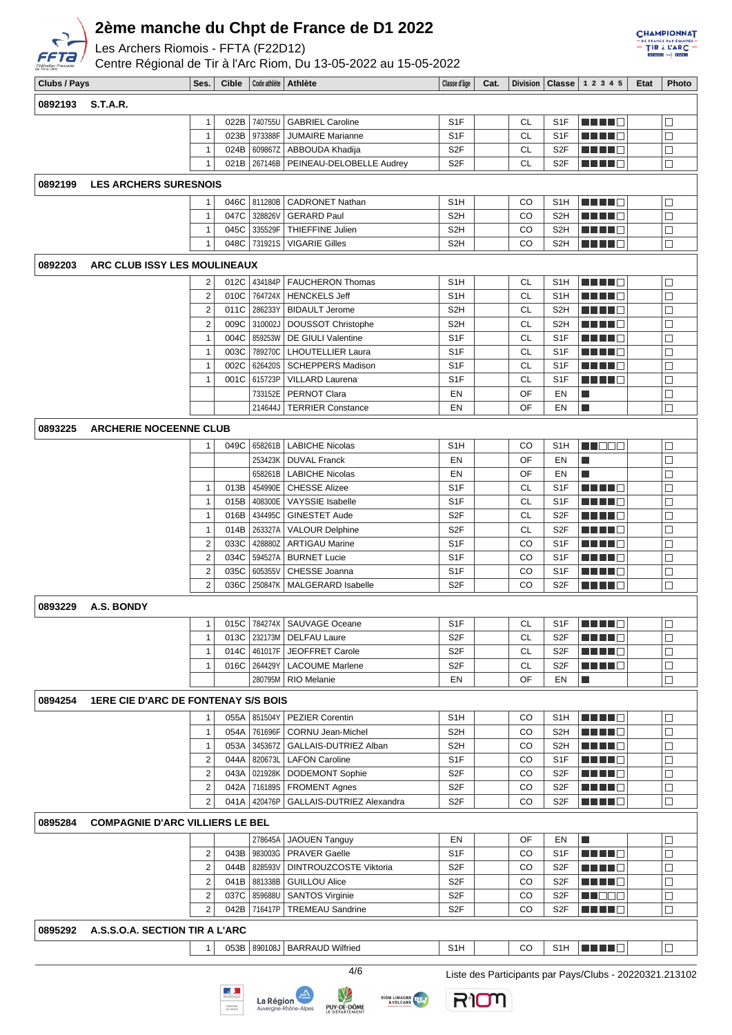

Les Archers Riomois - FFTA (F22D12)

Centre Régional de Tir à l'Arc Riom, Du 13-05-2022 au 15-05-2022

| <b>Fédération Française</b><br>de Tir à l'Arc |                                            |                         |              |                | Centre Régional de Tir à l'Arc Riom, Du 13-05-2022 au 15-05-2022 |                  |      |           |                  |                                                                                                                                                                                                                                      |      |                          |
|-----------------------------------------------|--------------------------------------------|-------------------------|--------------|----------------|------------------------------------------------------------------|------------------|------|-----------|------------------|--------------------------------------------------------------------------------------------------------------------------------------------------------------------------------------------------------------------------------------|------|--------------------------|
| Clubs / Pays                                  |                                            | Ses.                    | <b>Cible</b> |                | Code athlète   Athlète                                           | Classe d'âge     | Cat. |           |                  | Division   Classe   1 2 3 4 5                                                                                                                                                                                                        | Etat | Photo                    |
| 0892193                                       | <b>S.T.A.R.</b>                            |                         |              |                |                                                                  |                  |      |           |                  |                                                                                                                                                                                                                                      |      |                          |
|                                               |                                            | 1                       |              | 022B 740755U   | <b>GABRIEL Caroline</b>                                          | S <sub>1</sub> F |      | CL        | S <sub>1</sub> F | man d                                                                                                                                                                                                                                |      | $\Box$                   |
|                                               |                                            | 1                       | 023B         | 973388F        | <b>JUMAIRE Marianne</b>                                          | S1F              |      | CL        | S <sub>1</sub> F |                                                                                                                                                                                                                                      |      | $\Box$                   |
|                                               |                                            | 1                       |              | 024B 609867Z   | ABBOUDA Khadija                                                  | S <sub>2</sub> F |      | <b>CL</b> | S <sub>2</sub> F | <u> Literatur</u>                                                                                                                                                                                                                    |      | $\overline{\phantom{a}}$ |
|                                               |                                            | 1                       |              | 021B 267146B   | PEINEAU-DELOBELLE Audrey                                         | S <sub>2F</sub>  |      | СL        | S <sub>2</sub> F | <u> Literatur</u>                                                                                                                                                                                                                    |      | $\Box$                   |
|                                               |                                            |                         |              |                |                                                                  |                  |      |           |                  |                                                                                                                                                                                                                                      |      |                          |
| 0892199                                       | <b>LES ARCHERS SURESNOIS</b>               |                         |              |                |                                                                  |                  |      |           |                  |                                                                                                                                                                                                                                      |      |                          |
|                                               |                                            |                         |              | 046C   811280B | <b>CADRONET Nathan</b>                                           | S <sub>1</sub> H |      | CO        | S <sub>1</sub> H | e de la c                                                                                                                                                                                                                            |      | □                        |
|                                               |                                            | $\mathbf{1}$            |              | 047C 328826V   | <b>GERARD Paul</b>                                               | S <sub>2</sub> H |      | CO        | S <sub>2</sub> H | HH 10                                                                                                                                                                                                                                |      | $\Box$                   |
|                                               |                                            | 1                       | 045C         | 335529F        | THIEFFINE Julien                                                 | S2H              |      | CO        | S <sub>2</sub> H | <u> Literatur</u>                                                                                                                                                                                                                    |      | $\Box$                   |
|                                               |                                            | 1                       | 048C         | 731921S        | <b>VIGARIE Gilles</b>                                            | S2H              |      | CO        | S <sub>2</sub> H |                                                                                                                                                                                                                                      |      | $\Box$                   |
| 0892203                                       | ARC CLUB ISSY LES MOULINEAUX               |                         |              |                |                                                                  |                  |      |           |                  |                                                                                                                                                                                                                                      |      |                          |
|                                               |                                            | 2                       |              | 012C 334184P   | <b>FAUCHERON Thomas</b>                                          | S <sub>1</sub> H |      | CL        | S <sub>1</sub> H | MAN 1999                                                                                                                                                                                                                             |      | $\Box$                   |
|                                               |                                            | $\boldsymbol{2}$        | 010C         | 764724X        | <b>HENCKELS Jeff</b>                                             | S <sub>1</sub> H |      | CL        | S <sub>1</sub> H | HH 10                                                                                                                                                                                                                                |      | $\Box$                   |
|                                               |                                            | $\boldsymbol{2}$        | 011C         | 286233Y        | <b>BIDAULT Jerome</b>                                            | S <sub>2</sub> H |      | <b>CL</b> | S <sub>2</sub> H | MA MA                                                                                                                                                                                                                                |      | $\Box$                   |
|                                               |                                            | $\boldsymbol{2}$        | 009C         | 310002J        | <b>DOUSSOT Christophe</b>                                        | S <sub>2</sub> H |      | CL        | S <sub>2</sub> H | <u> Literatur</u>                                                                                                                                                                                                                    |      | $\Box$                   |
|                                               |                                            | 1                       | 004C         | 859253W        | DE GIULI Valentine                                               | S <sub>1</sub> F |      | <b>CL</b> | S <sub>1</sub> F | <u> La La C</u>                                                                                                                                                                                                                      |      | $\Box$                   |
|                                               |                                            | 1                       | 003C         | 789270C        | <b>LHOUTELLIER Laura</b>                                         | S <sub>1</sub> F |      | CL        | S <sub>1</sub> F | n di Ting                                                                                                                                                                                                                            |      | $\Box$                   |
|                                               |                                            | 1                       | 002C         | 626420S        | <b>SCHEPPERS Madison</b>                                         | S <sub>1</sub> F |      | СL        | S <sub>1</sub> F | Martin B                                                                                                                                                                                                                             |      | $\Box$                   |
|                                               |                                            | 1                       | 001C         | 615723P        | <b>VILLARD Laurena</b>                                           | S1F              |      | CL        | S <sub>1</sub> F | H H H H                                                                                                                                                                                                                              |      | $\Box$                   |
|                                               |                                            |                         |              | 733152E        | <b>PERNOT Clara</b>                                              | EN               |      | OF        | EN               | Ш                                                                                                                                                                                                                                    |      | $\Box$                   |
|                                               |                                            |                         |              | 214644J        | <b>TERRIER Constance</b>                                         | EN               |      | OF        | EN               | Ш                                                                                                                                                                                                                                    |      | $\Box$                   |
|                                               |                                            |                         |              |                |                                                                  |                  |      |           |                  |                                                                                                                                                                                                                                      |      |                          |
| 0893225                                       | <b>ARCHERIE NOCEENNE CLUB</b>              |                         |              |                |                                                                  |                  |      |           |                  |                                                                                                                                                                                                                                      |      |                          |
|                                               |                                            |                         | 049C         | 658261B        | <b>LABICHE Nicolas</b>                                           | S <sub>1</sub> H |      | CO        | S <sub>1</sub> H | M DE L                                                                                                                                                                                                                               |      | $\Box$                   |
|                                               |                                            |                         |              | 253423K        | <b>DUVAL Franck</b>                                              | EN               |      | OF        | EN               | Ш                                                                                                                                                                                                                                    |      | $\Box$                   |
|                                               |                                            |                         |              |                | 658261B   LABICHE Nicolas                                        | EN               |      | OF        | EN               | П                                                                                                                                                                                                                                    |      | $\Box$                   |
|                                               |                                            | 1                       | 013B         | 454990E        | <b>CHESSE Alizee</b>                                             | S1F              |      | CL        | S <sub>1</sub> F | HH 10                                                                                                                                                                                                                                |      | $\Box$                   |
|                                               |                                            | 1                       | 015B         | 408300E        | VAYSSIE Isabelle                                                 | S <sub>1</sub> F |      | <b>CL</b> | S <sub>1</sub> F | n di Tinggi                                                                                                                                                                                                                          |      | $\Box$                   |
|                                               |                                            | 1                       | 016B         | 434495C        | GINESTET Aude                                                    | S <sub>2</sub> F |      | <b>CL</b> | S <sub>2</sub> F | <u> Literatur</u>                                                                                                                                                                                                                    |      | $\Box$                   |
|                                               |                                            | 1                       | 014B         | 263327A        | <b>VALOUR Delphine</b>                                           | S <sub>2</sub> F |      | CL        | S <sub>2</sub> F | <u> E Se Se</u>                                                                                                                                                                                                                      |      | $\Box$                   |
|                                               |                                            | $\overline{2}$          | 033C         | 428880Z        | <b>ARTIGAU Marine</b>                                            | S <sub>1</sub> F |      | CO        | S <sub>1</sub> F | n din B                                                                                                                                                                                                                              |      | $\Box$                   |
|                                               |                                            | $\overline{2}$          | 034C         | 594527A        | <b>BURNET Lucie</b>                                              | S <sub>1</sub> F |      | CO        | S <sub>1</sub> F | n i Titulia                                                                                                                                                                                                                          |      | $\Box$                   |
|                                               |                                            | $\overline{2}$          | 035C         | 605355V        | CHESSE Joanna                                                    | S <sub>1</sub> F |      | CO        | S <sub>1</sub> F | <u> Literatur</u>                                                                                                                                                                                                                    |      | $\Box$                   |
|                                               |                                            | $\overline{2}$          | 036C         | 250847K        | <b>MALGERARD Isabelle</b>                                        | S <sub>2</sub> F |      | CO        | S <sub>2</sub> F | ME NE S                                                                                                                                                                                                                              |      | $\Box$                   |
| 0893229                                       | A.S. BONDY                                 |                         |              |                |                                                                  |                  |      |           |                  |                                                                                                                                                                                                                                      |      |                          |
|                                               |                                            | 1                       | 015C         |                | 784274X   SAUVAGE Oceane                                         | S1F              |      | CL        | S <sub>1</sub> F | MA MARI                                                                                                                                                                                                                              |      | $\Box$                   |
|                                               |                                            | 1                       |              |                | 013C   232173M   DELFAU Laure                                    | S <sub>2</sub> F |      | СL        | S <sub>2</sub> F |                                                                                                                                                                                                                                      |      | $\overline{\phantom{a}}$ |
|                                               |                                            | 1                       | 014C         | 461017F        | JEOFFRET Carole                                                  | S <sub>2</sub> F |      | CL        | S <sub>2</sub> F | <u> Literatur C</u>                                                                                                                                                                                                                  |      | $\Box$                   |
|                                               |                                            | 1                       |              | 016C 264429Y   | <b>LACOUME Marlene</b>                                           | S <sub>2F</sub>  |      | СL        | S <sub>2F</sub>  | MA MA                                                                                                                                                                                                                                |      | $\Box$                   |
|                                               |                                            |                         |              | 280795M        | <b>RIO Melanie</b>                                               | EN               |      | OF        | EN               | T.                                                                                                                                                                                                                                   |      | $\Box$                   |
|                                               |                                            |                         |              |                |                                                                  |                  |      |           |                  |                                                                                                                                                                                                                                      |      |                          |
| 0894254                                       | <b>1ERE CIE D'ARC DE FONTENAY S/S BOIS</b> |                         |              |                |                                                                  |                  |      |           |                  |                                                                                                                                                                                                                                      |      |                          |
|                                               |                                            | 1                       | 055A         | 851504Y        | PEZIER Corentin                                                  | S <sub>1</sub> H |      | CO        | S <sub>1</sub> H | <u> BEEL</u>                                                                                                                                                                                                                         |      | $\overline{\phantom{a}}$ |
|                                               |                                            | 1                       | 054A         | 761696F        | <b>CORNU Jean-Michel</b>                                         | S <sub>2</sub> H |      | CO        | S <sub>2</sub> H | HH H H                                                                                                                                                                                                                               |      | $\Box$                   |
|                                               |                                            | 1                       | 053A         | 345367Z        | GALLAIS-DUTRIEZ Alban                                            | S <sub>2</sub> H |      | CO        | S <sub>2</sub> H | MA MA M                                                                                                                                                                                                                              |      | $\Box$                   |
|                                               |                                            | $\overline{2}$          | 044A         |                | 820673L   LAFON Caroline                                         | S <sub>1</sub> F |      | CO        | S <sub>1</sub> F | <u> La La C</u>                                                                                                                                                                                                                      |      | □                        |
|                                               |                                            | $\overline{\mathbf{c}}$ | 043A         | 021928K        | <b>DODEMONT Sophie</b>                                           | S <sub>2</sub> F |      | CO        | S <sub>2</sub> F | <u> Listo de la p</u>                                                                                                                                                                                                                |      | $\Box$                   |
|                                               |                                            | $\overline{2}$          | 042A         | 716189S        | <b>FROMENT Agnes</b>                                             | S <sub>2F</sub>  |      | CO        | S <sub>2</sub> F | MA MA M                                                                                                                                                                                                                              |      | $\Box$                   |
|                                               |                                            | $\overline{2}$          | 041A         | 420476P        | GALLAIS-DUTRIEZ Alexandra                                        | S <sub>2F</sub>  |      | CO        | S <sub>2</sub> F | <u> Liberto Control Control Control Control Control Control Control Control Control Control Control Control Control Control Control Control Control Control Control Control Control Control Control Control Control Control Cont</u> |      | $\Box$                   |
| 0895284                                       | <b>COMPAGNIE D'ARC VILLIERS LE BEL</b>     |                         |              |                |                                                                  |                  |      |           |                  |                                                                                                                                                                                                                                      |      |                          |
|                                               |                                            |                         |              | 278645A        | <b>JAOUEN Tanguy</b>                                             | EN               |      | OF        | EN               | $\mathcal{L}_{\mathcal{A}}$                                                                                                                                                                                                          |      | u                        |
|                                               |                                            | 2                       | 043B         | 983003G        | <b>PRAVER Gaelle</b>                                             | S <sub>1</sub> F |      | CO        | S <sub>1</sub> F | MA MAR                                                                                                                                                                                                                               |      | $\Box$                   |
|                                               |                                            | 2                       | 044B         | 828593V        | DINTROUZCOSTE Viktoria                                           | S <sub>2F</sub>  |      | CO        | S <sub>2</sub> F |                                                                                                                                                                                                                                      |      |                          |
|                                               |                                            | $\overline{\mathbf{c}}$ | 041B         | 881338B        | <b>GUILLOU Alice</b>                                             | S <sub>2</sub> F |      | CO        | S <sub>2</sub> F | <u> Literatur</u><br><u> Literatur C</u>                                                                                                                                                                                             |      | $\Box$<br>$\Box$         |
|                                               |                                            | $\overline{\mathbf{c}}$ | 037C         | 859688U        | <b>SANTOS Virginie</b>                                           | S <sub>2F</sub>  |      | CO        | S <sub>2</sub> F |                                                                                                                                                                                                                                      |      |                          |
|                                               |                                            | $\overline{2}$          | 042B         | 716417P        | <b>TREMEAU Sandrine</b>                                          | S <sub>2F</sub>  |      | CO        | S <sub>2</sub> F | ME SE<br><u> Listo de la p</u>                                                                                                                                                                                                       |      | $\Box$<br>$\Box$         |
|                                               |                                            |                         |              |                |                                                                  |                  |      |           |                  |                                                                                                                                                                                                                                      |      |                          |
| 0895292                                       | A.S.S.O.A. SECTION TIR A L'ARC             |                         |              |                |                                                                  |                  |      |           |                  |                                                                                                                                                                                                                                      |      |                          |
|                                               |                                            | 1                       |              |                | 053B   890108J   BARRAUD Wilfried                                | S <sub>1</sub> H |      | CO        | S1H              | <u>   ENNE   </u>                                                                                                                                                                                                                    |      | $\Box$                   |











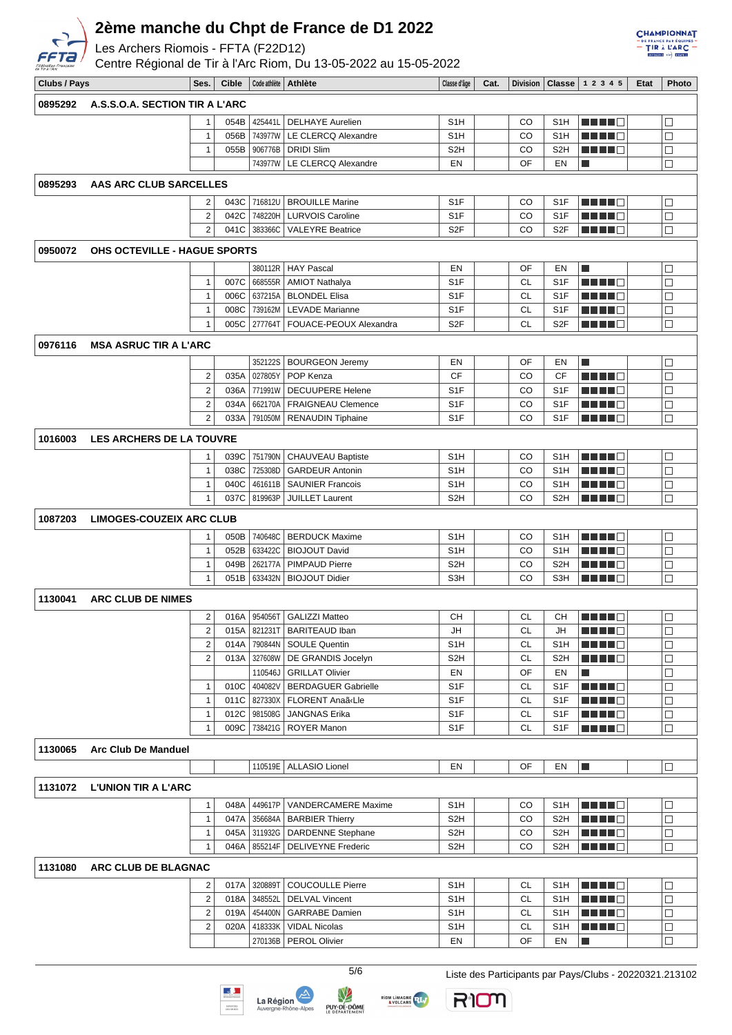

Les Archers Riomois - FFTA (F22D12)

Centre Régional de Tir à l'Arc Riom, Du 13-05-2022 au 15-05-2022

| <b>CHAMPIONNAT</b>            |
|-------------------------------|
| $-$ DE FRANCE PAR ÉQUIPES $-$ |
|                               |
| $=$ TIR $\lambda$ L'ARC $=$   |
| DIVISION) +3- ETAPE 2         |

| Clubs / Pays |                                 | Ses.                             | <b>Cible</b> |                    | Code athlète   Athlète                                | Classe d'âge                         | Cat. |           |                                      | Division   Classe   1 2 3 4 5                                                                                  | Etat | Photo            |
|--------------|---------------------------------|----------------------------------|--------------|--------------------|-------------------------------------------------------|--------------------------------------|------|-----------|--------------------------------------|----------------------------------------------------------------------------------------------------------------|------|------------------|
|              | A.S.S.O.A. SECTION TIR A L'ARC  |                                  |              |                    |                                                       |                                      |      |           |                                      |                                                                                                                |      |                  |
| 0895292      |                                 |                                  |              |                    |                                                       |                                      |      |           |                                      |                                                                                                                |      |                  |
|              |                                 | -1                               | 054B         |                    | 425441L   DELHAYE Aurelien                            | S <sub>1</sub> H                     |      | CO        | S <sub>1</sub> H                     | <u> Literatu</u>                                                                                               |      | $\Box$           |
|              |                                 | $\mathbf 1$                      | 056B         | 743977W<br>906776B | LE CLERCQ Alexandre                                   | S <sub>1</sub> H                     |      | CO        | S <sub>1</sub> H                     | a ka                                                                                                           |      | $\Box$           |
|              |                                 | 1                                | 055B         | 743977W            | <b>DRIDI Slim</b><br>LE CLERCQ Alexandre              | S <sub>2</sub> H<br>EN               |      | CO<br>OF  | S <sub>2</sub> H<br>EN               | ×                                                                                                              |      | $\Box$<br>□      |
|              |                                 |                                  |              |                    |                                                       |                                      |      |           |                                      |                                                                                                                |      |                  |
| 0895293      | AAS ARC CLUB SARCELLES          |                                  |              |                    |                                                       |                                      |      |           |                                      |                                                                                                                |      |                  |
|              |                                 | 2                                | 043C         | 716812U            | <b>BROUILLE Marine</b>                                | S <sub>1</sub> F                     |      | CO        | S <sub>1</sub> F                     | TI TITLE                                                                                                       |      | $\Box$           |
|              |                                 | 2                                | 042C         | 748220H            | <b>LURVOIS Caroline</b>                               | S <sub>1</sub> F                     |      | CO        | S <sub>1</sub> F                     |                                                                                                                |      | $\Box$           |
|              |                                 | $\overline{2}$                   | 041C         | 383366C            | <b>VALEYRE Beatrice</b>                               | S <sub>2</sub> F                     |      | CO        | S <sub>2</sub> F                     | <u>Literatu</u>                                                                                                |      | $\Box$           |
| 0950072      | OHS OCTEVILLE - HAGUE SPORTS    |                                  |              |                    |                                                       |                                      |      |           |                                      |                                                                                                                |      |                  |
|              |                                 |                                  |              | 380112R            | <b>HAY Pascal</b>                                     | EN                                   |      | OF        | EN                                   | $\blacksquare$                                                                                                 |      | $\Box$           |
|              |                                 | 1                                | 007C         | 668555R            | <b>AMIOT Nathalya</b>                                 | S <sub>1</sub> F                     |      | CL        | S <sub>1</sub> F                     | N N N N N                                                                                                      |      | $\Box$           |
|              |                                 | $\mathbf{1}$                     | 006C         | 637215A            | <b>BLONDEL Elisa</b>                                  | S <sub>1</sub> F                     |      | CL        | S <sub>1</sub> F                     | a di sebagai pengaran pengaran pengaran pengaran pada karena dan pada tahun banyak pada antara pada antara pad |      | $\Box$           |
|              |                                 | $\mathbf{1}$                     | 008C         | 739162M            | <b>LEVADE Marianne</b>                                | S <sub>1</sub> F                     |      | <b>CL</b> | S <sub>1</sub> F                     | M M M M M                                                                                                      |      | $\Box$           |
|              |                                 | 1                                | 005C         | 277764T            | FOUACE-PEOUX Alexandra                                | S <sub>2</sub> F                     |      | CL        | S <sub>2</sub> F                     | <u> Literatur</u>                                                                                              |      | $\Box$           |
| 0976116      | <b>MSA ASRUC TIR A L'ARC</b>    |                                  |              |                    |                                                       |                                      |      |           |                                      |                                                                                                                |      |                  |
|              |                                 |                                  |              | 352122S            | <b>BOURGEON Jeremy</b>                                | EN                                   |      | OF        | EN                                   | П                                                                                                              |      | $\Box$           |
|              |                                 | 2                                | 035A         | 027805Y            | POP Kenza                                             | CF                                   |      | CO        | СF                                   | M SI SI SI SI                                                                                                  |      | $\Box$           |
|              |                                 | $\overline{2}$                   | 036A         | 771991W            | <b>DECUUPERE Helene</b>                               | S <sub>1</sub> F                     |      | CO        | S <sub>1</sub> F                     |                                                                                                                |      | $\Box$           |
|              |                                 | $\overline{2}$                   | 034A         | 662170A            | <b>FRAIGNEAU Clemence</b>                             | S <sub>1</sub> F                     |      | CO        | S <sub>1</sub> F                     |                                                                                                                |      | $\Box$           |
|              |                                 | $\overline{2}$                   | 033A         | 791050M            | <b>RENAUDIN Tiphaine</b>                              | S <sub>1</sub> F                     |      | CO        | S <sub>1</sub> F                     | <u>Literatu</u>                                                                                                |      | □                |
| 1016003      | <b>LES ARCHERS DE LA TOUVRE</b> |                                  |              |                    |                                                       |                                      |      |           |                                      |                                                                                                                |      |                  |
|              |                                 | 1                                | 039C         | 751790N            | CHAUVEAU Baptiste                                     | S <sub>1</sub> H                     |      | CO        | S <sub>1</sub> H                     | MA MAR                                                                                                         |      | $\Box$           |
|              |                                 | $\mathbf{1}$                     | 038C         | 725308D            | <b>GARDEUR Antonin</b>                                | S <sub>1</sub> H                     |      | CO        | S <sub>1</sub> H                     |                                                                                                                |      | $\Box$           |
|              |                                 | $\mathbf{1}$                     | 040C         | 461611B            | <b>SAUNIER Francois</b>                               | S1H                                  |      | CO        | S <sub>1</sub> H                     |                                                                                                                |      | □                |
|              |                                 | 1                                | 037C         | 819963P            | <b>JUILLET Laurent</b>                                | S <sub>2</sub> H                     |      | CO        | S <sub>2</sub> H                     | <u> Literatur</u>                                                                                              |      | $\Box$           |
| 1087203      | LIMOGES-COUZEIX ARC CLUB        |                                  |              |                    |                                                       |                                      |      |           |                                      |                                                                                                                |      |                  |
|              |                                 |                                  |              |                    |                                                       |                                      |      |           |                                      |                                                                                                                |      |                  |
|              |                                 | -1<br>$\mathbf{1}$               | 050B<br>052B | 740648C<br>633422C | <b>BERDUCK Maxime</b><br><b>BIOJOUT David</b>         | S1H<br>S1H                           |      | CO<br>CO  | S <sub>1</sub> H<br>S <sub>1</sub> H | MA MARINA                                                                                                      |      | □<br>$\Box$      |
|              |                                 | 1                                | 049B         | 262177A            | PIMPAUD Pierre                                        | S <sub>2</sub> H                     |      | CO        | S <sub>2</sub> H                     |                                                                                                                |      | □                |
|              |                                 | 1                                | 051B         | 633432N            | <b>BIOJOUT Didier</b>                                 | S3H                                  |      | CO        | S <sub>3</sub> H                     | a di Biblio                                                                                                    |      | $\Box$           |
|              |                                 |                                  |              |                    |                                                       |                                      |      |           |                                      |                                                                                                                |      |                  |
| 1130041      | <b>ARC CLUB DE NIMES</b>        |                                  |              |                    |                                                       |                                      |      |           |                                      |                                                                                                                |      |                  |
|              |                                 | 2 <sup>1</sup>                   |              |                    | 016A   954056T   GALIZZI Matteo                       | CН                                   |      | <b>CL</b> | CН                                   | man d                                                                                                          |      | □                |
|              |                                 | $\overline{2}$<br>$\overline{2}$ | 015A<br>014A | 821231T            | <b>BARITEAUD Iban</b><br>790844N   SOULE Quentin      | JH<br>S1H                            |      | CL<br>CL  | JH<br>S <sub>1</sub> H               | <u> Literatur C</u>                                                                                            |      | $\Box$<br>$\Box$ |
|              |                                 | $\overline{2}$                   | 013A         | 327608W            | DE GRANDIS Jocelyn                                    | S <sub>2</sub> H                     |      | CL        | S <sub>2</sub> H                     | MA MARI                                                                                                        |      | $\Box$           |
|              |                                 |                                  |              | 110546J            | <b>GRILLAT Olivier</b>                                | EN                                   |      | OF        | EN                                   | n.                                                                                                             |      | □                |
|              |                                 | $\mathbf{1}$                     | 010C         | 404082V            | <b>BERDAGUER Gabrielle</b>                            | S <sub>1</sub> F                     |      | СL        | S <sub>1</sub> F                     | ME NEG                                                                                                         |      | □                |
|              |                                 | 1                                | 011C         | 827330X            | FLORENT Anaã«Lle                                      | S <sub>1</sub> F                     |      | CL        | S <sub>1</sub> F                     | MA MAR                                                                                                         |      | □                |
|              |                                 | $\mathbf{1}$                     | 012C         | 981508G            | <b>JANGNAS Erika</b>                                  | S <sub>1</sub> F                     |      | <b>CL</b> | S1F                                  | <u>Li Li Li B</u>                                                                                              |      | $\Box$           |
|              |                                 | $\mathbf{1}$                     | 009C         | 738421G            | <b>ROYER Manon</b>                                    | S <sub>1</sub> F                     |      | CL        | S <sub>1</sub> F                     | MA MET                                                                                                         |      | □                |
| 1130065      | <b>Arc Club De Manduel</b>      |                                  |              |                    |                                                       |                                      |      |           |                                      |                                                                                                                |      |                  |
|              |                                 |                                  |              |                    | 110519E   ALLASIO Lionel                              | EN                                   |      | OF        | EN                                   | П                                                                                                              |      | $\Box$           |
|              |                                 |                                  |              |                    |                                                       |                                      |      |           |                                      |                                                                                                                |      |                  |
| 1131072      | <b>L'UNION TIR A L'ARC</b>      |                                  |              |                    |                                                       |                                      |      |           |                                      |                                                                                                                |      |                  |
|              |                                 | $\mathbf{1}$                     | 048A         | 449617P            | VANDERCAMERE Maxime                                   | S1H                                  |      | CO        | S <sub>1</sub> H                     | M M M M M                                                                                                      |      | □                |
|              |                                 | 1                                | 047A         | 356684A            | <b>BARBIER Thierry</b>                                | S2H                                  |      | CO        | S <sub>2</sub> H                     |                                                                                                                |      | $\Box$           |
|              |                                 | $\mathbf{1}$<br>$\mathbf{1}$     | 045A<br>046A | 311932G<br>855214F | <b>DARDENNE Stephane</b><br><b>DELIVEYNE Frederic</b> | S <sub>2</sub> H<br>S <sub>2</sub> H |      | CO<br>CO  | S <sub>2</sub> H<br>S <sub>2</sub> H | <u>Li Li Li B</u><br><u> Literatur</u>                                                                         |      | □<br>$\Box$      |
|              |                                 |                                  |              |                    |                                                       |                                      |      |           |                                      |                                                                                                                |      |                  |
| 1131080      | ARC CLUB DE BLAGNAC             |                                  |              |                    |                                                       |                                      |      |           |                                      |                                                                                                                |      |                  |
|              |                                 | 2                                | 017A         | 320889T            | <b>COUCOULLE Pierre</b>                               | S <sub>1</sub> H                     |      | CL        | S <sub>1</sub> H                     | M M M M M                                                                                                      |      | □                |
|              |                                 | $\overline{2}$                   | 018A         | 348552L            | <b>DELVAL Vincent</b>                                 | S <sub>1</sub> H                     |      | CL        | S <sub>1</sub> H                     | <u> Literatur C</u>                                                                                            |      | $\Box$           |
|              |                                 | 2                                | 019A         | 454400N            | <b>GARRABE Damien</b>                                 | S1H                                  |      | СL        | S1H                                  | <u>Li Li Li B</u>                                                                                              |      | $\Box$           |
|              |                                 | 2                                | 020A         | 418333K            | <b>VIDAL Nicolas</b>                                  | S1H                                  |      | СL        | S <sub>1</sub> H                     | <u>Li Li Li B</u>                                                                                              |      | $\Box$           |
|              |                                 |                                  |              | 270136B            | <b>PEROL Olivier</b>                                  | EN                                   |      | OF        | EN                                   | $\Box$                                                                                                         |      | □                |







RIOM